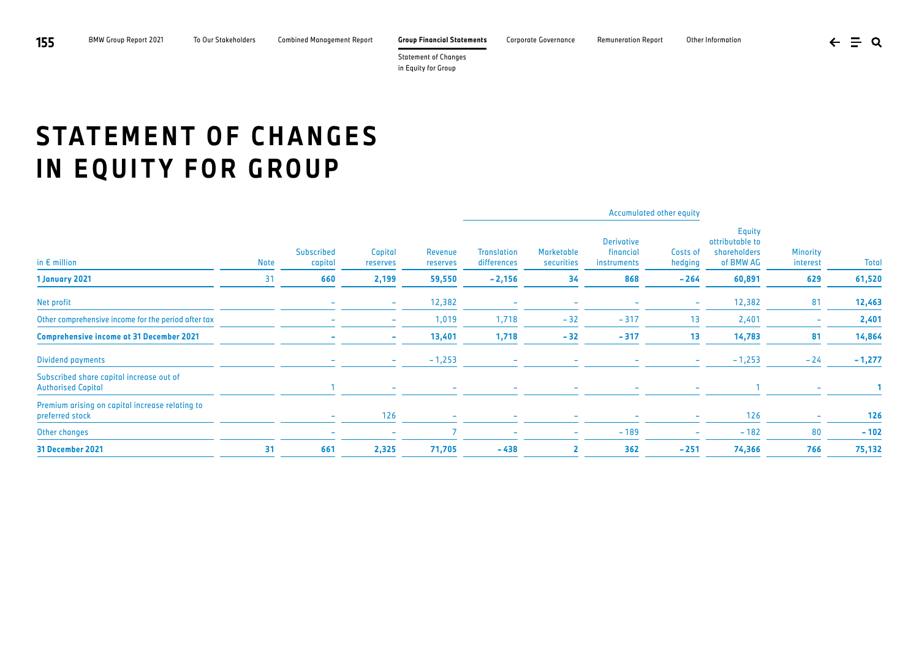**155** BMW Group Report 2021 To Our Stakeholders Combined Management Report **Group Financial Statements** Corporate Governance Remuneration Report Other Information

Statement of Changes in Equity for Group

## **STATEMENT OF CHANGES IN EQUITY FOR GROUP**

| in $E$ million                                                        |             | <b>Subscribed</b><br>capital | Capital<br>reserves      | Revenue<br>reserves |                                   |                          | Accumulated other equity                      |                          |                                                               |                             |              |
|-----------------------------------------------------------------------|-------------|------------------------------|--------------------------|---------------------|-----------------------------------|--------------------------|-----------------------------------------------|--------------------------|---------------------------------------------------------------|-----------------------------|--------------|
|                                                                       | <b>Note</b> |                              |                          |                     | <b>Translation</b><br>differences | Marketable<br>securities | <b>Derivative</b><br>financial<br>instruments | Costs of<br>hedging      | <b>Equity</b><br>attributable to<br>shareholders<br>of BMW AG | <b>Minority</b><br>interest | <b>Total</b> |
| 1 January 2021                                                        | 31          | 660                          | 2,199                    | 59,550              | $-2,156$                          | 34                       | 868                                           | $-264$                   | 60,891                                                        | 629                         | 61,520       |
| Net profit                                                            |             | $\overline{\phantom{a}}$     | $\overline{\phantom{a}}$ | 12,382              | $\overline{\phantom{a}}$          | $\overline{\phantom{0}}$ |                                               | $\sim$                   | 12,382                                                        | 81                          | 12,463       |
| Other comprehensive income for the period after tax                   |             |                              | $\overline{\phantom{a}}$ | 1,019               | 1,718                             | $-32$                    | $-317$                                        | 13                       | 2,401                                                         |                             | 2,401        |
| <b>Comprehensive income at 31 December 2021</b>                       |             |                              | ٠                        | 13,401              | 1,718                             | $-32$                    | $-317$                                        | 13                       | 14,783                                                        | 81                          | 14,864       |
| <b>Dividend payments</b>                                              |             |                              | $\sim$                   | $-1,253$            | $\overline{\phantom{a}}$          | $\overline{\phantom{0}}$ | $\overline{\phantom{a}}$                      | $\sim$                   | $-1,253$                                                      | $-24$                       | $-1,277$     |
| Subscribed share capital increase out of<br><b>Authorised Capital</b> |             |                              | $\equiv$                 |                     |                                   |                          |                                               | $\overline{\phantom{a}}$ |                                                               |                             |              |
| Premium arising on capital increase relating to<br>preferred stock    |             | $\overline{\phantom{a}}$     | 126                      |                     |                                   |                          |                                               | $\overline{\phantom{a}}$ | 126                                                           |                             | 126          |
| Other changes                                                         |             | $\overline{\phantom{a}}$     | $\overline{\phantom{0}}$ |                     | $\overline{\phantom{a}}$          | $\sim$                   | $-189$                                        | $\overline{\phantom{a}}$ | $-182$                                                        | 80                          | $-102$       |
| 31 December 2021                                                      | 31          | 661                          | 2,325                    | 71,705              | $-438$                            |                          | 362                                           | $-251$                   | 74,366                                                        | 766                         | 75,132       |